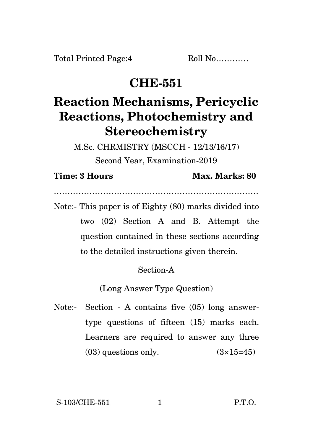Total Printed Page: 4 Roll No............

## **CHE-551**

# **Reaction Mechanisms, Pericyclic Reactions, Photochemistry and Stereochemistry**

M.Sc. CHRMISTRY (MSCCH - 12/13/16/17)

Second Year, Examination-2019

#### **Time: 3 Hours Max. Marks: 80**

…………………………………………………………………

Note:- This paper is of Eighty (80) marks divided into two (02) Section A and B. Attempt the question contained in these sections according to the detailed instructions given therein.

### Section-A

(Long Answer Type Question)

Note:- Section - A contains five (05) long answertype questions of fifteen (15) marks each. Learners are required to answer any three  $(03)$  questions only.  $(3\times15=45)$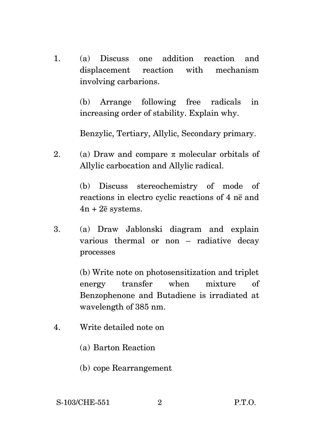1. (a) Discuss one addition reaction and displacement reaction with mechanism involving carbarions.

> (b) Arrange following free radicals in increasing order of stability. Explain why.

Benzylic, Tertiary, Allylic, Secondary primary.

2. (a) Draw and compare  $\pi$  molecular orbitals of Allylic carbocation and Allylic radical.

> (b) Discuss stereochemistry of mode of reactions in electro cyclic reactions of 4 ne and  $4n + 2\overline{e}$  systems.

3. (a) Draw Jablonski diagram and explain various thermal or non – radiative decay processes

> (b) Write note on photosensitization and triplet energy transfer when mixture of Benzophenone and Butadiene is irradiated at wavelength of 385 nm.

- 4. Write detailed note on
	- (a) Barton Reaction
	- (b) cope Rearrangement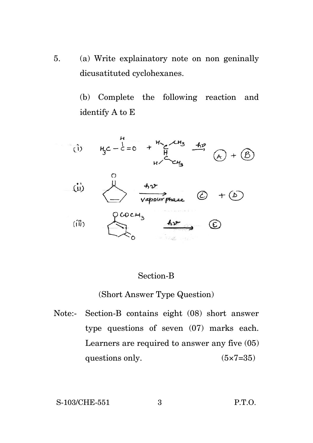5. (a) Write explainatory note on non geninally dicusatituted cyclohexanes.

> (b) Complete the following reaction and identify A to E



#### Section-B

#### (Short Answer Type Question)

Note:- Section-B contains eight (08) short answer type questions of seven (07) marks each. Learners are required to answer any five (05) questions only.  $(5 \times 7=35)$